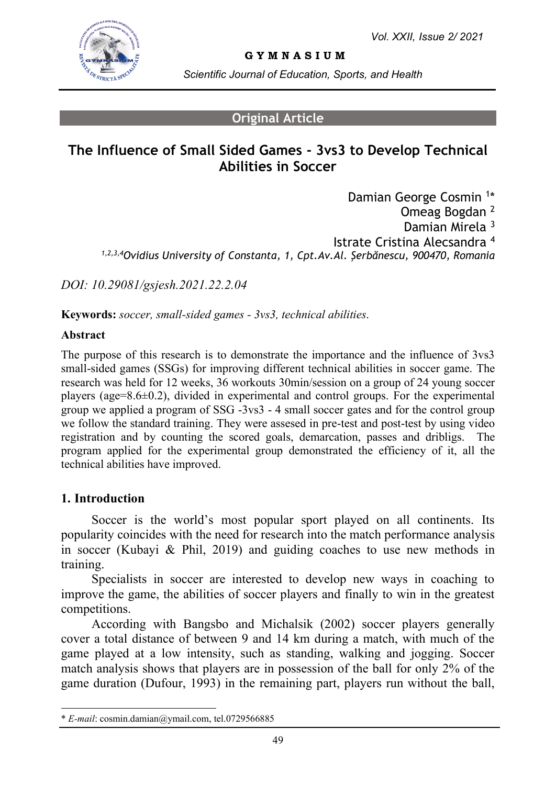

**G Y M N A S I U M**

*Scientific Journal of Education, Sports, and Health*

## **Original Article**

# **The Influence of Small Sided Games - 3vs3 to Develop Technical Abilities in Soccer**

Damian George Cosmin<sup>1\*</sup> Omeag Bogdan <sup>2</sup> Damian Mirela<sup>3</sup> Istrate Cristina Alecsandra <sup>4</sup> *1,2,3,4Ovidius University of Constanta, 1, Cpt.Av.Al. Şerbănescu, 900470, Romania*

*DOI: 10.29081/gsjesh.2021.22.2.04*

**Keywords:** *soccer, small-sided games - 3vs3, technical abilities.*

### **Abstract**

The purpose of this research is to demonstrate the importance and the influence of 3vs3 small-sided games (SSGs) for improving different technical abilities in soccer game. The research was held for 12 weeks, 36 workouts 30min/session on a group of 24 young soccer players (age=8.6±0.2), divided in experimental and control groups. For the experimental group we applied a program of SSG -3vs3 - 4 small soccer gates and for the control group we follow the standard training. They were assesed in pre-test and post-test by using video registration and by counting the scored goals, demarcation, passes and dribligs. The program applied for the experimental group demonstrated the efficiency of it, all the technical abilities have improved.

## **1. Introduction**

Soccer is the world's most popular sport played on all continents. Its popularity coincides with the need for research into the match performance analysis in soccer (Kubayi & Phil, 2019) and guiding coaches to use new methods in training.

Specialists in soccer are interested to develop new ways in coaching to improve the game, the abilities of soccer players and finally to win in the greatest competitions.

According with Bangsbo and Michalsik (2002) soccer players generally cover a total distance of between 9 and 14 km during a match, with much of the game played at a low intensity, such as standing, walking and jogging. Soccer match analysis shows that players are in possession of the ball for only 2% of the game duration (Dufour, 1993) in the remaining part, players run without the ball,

<sup>\*</sup> *E-mail*: cosmin.damian@ymail.com, tel.0729566885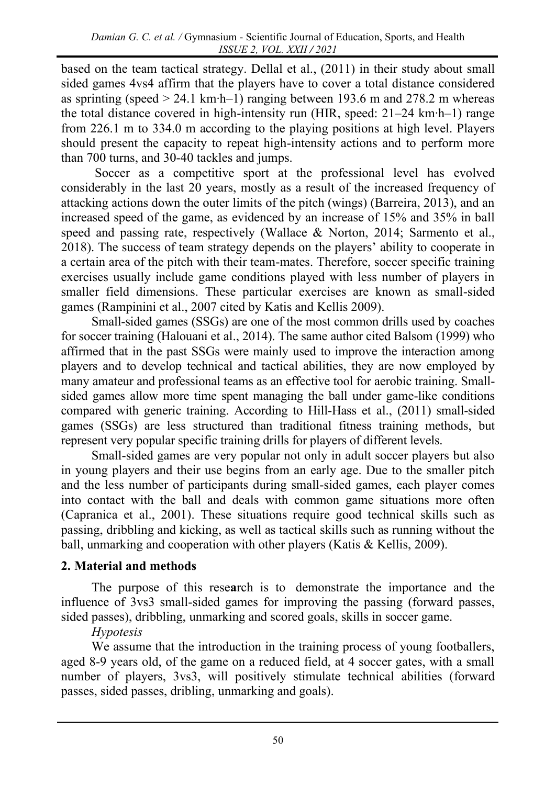based on the team tactical strategy. Dellal et al., (2011) in their study about small sided games 4vs4 affirm that the players have to cover a total distance considered as sprinting (speed > 24.1 km∙h–1) ranging between 193.6 m and 278.2 m whereas the total distance covered in high-intensity run (HIR, speed: 21–24 km∙h–1) range from 226.1 m to 334.0 m according to the playing positions at high level. Players should present the capacity to repeat high-intensity actions and to perform more than 700 turns, and 30-40 tackles and jumps.

Soccer as a competitive sport at the professional level has evolved considerably in the last 20 years, mostly as a result of the increased frequency of attacking actions down the outer limits of the pitch (wings) (Barreira, 2013), and an increased speed of the game, as evidenced by an increase of 15% and 35% in ball speed and passing rate, respectively (Wallace & Norton, 2014; Sarmento et al., 2018). The success of team strategy depends on the players' ability to cooperate in a certain area of the pitch with their team-mates. Therefore, soccer specific training exercises usually include game conditions played with less number of players in smaller field dimensions. These particular exercises are known as small-sided games (Rampinini et al., 2007 cited by Katis and Kellis 2009).

Small-sided games (SSGs) are one of the most common drills used by coaches for soccer training (Halouani et al., 2014). The same author cited Balsom (1999) who affirmed that in the past SSGs were mainly used to improve the interaction among players and to develop technical and tactical abilities, they are now employed by many amateur and professional teams as an effective tool for aerobic training. Smallsided games allow more time spent managing the ball under game-like conditions compared with generic training. According to Hill-Hass et al., (2011) small-sided games (SSGs) are less structured than traditional fitness training methods, but represent very popular specific training drills for players of different levels.

Small-sided games are very popular not only in adult soccer players but also in young players and their use begins from an early age. Due to the smaller pitch and the less number of participants during small-sided games, each player comes into contact with the ball and deals with common game situations more often (Capranica et al., 2001). These situations require good technical skills such as passing, dribbling and kicking, as well as tactical skills such as running without the ball, unmarking and cooperation with other players (Katis & Kellis, 2009).

# **2. Material and methods**

The purpose of this rese**a**rch is to demonstrate the importance and the influence of 3vs3 small-sided games for improving the passing (forward passes, sided passes), dribbling, unmarking and scored goals, skills in soccer game.

# *Hypotesis*

We assume that the introduction in the training process of young footballers, aged 8-9 years old, of the game on a reduced field, at 4 soccer gates, with a small number of players, 3vs3, will positively stimulate technical abilities (forward passes, sided passes, dribling, unmarking and goals).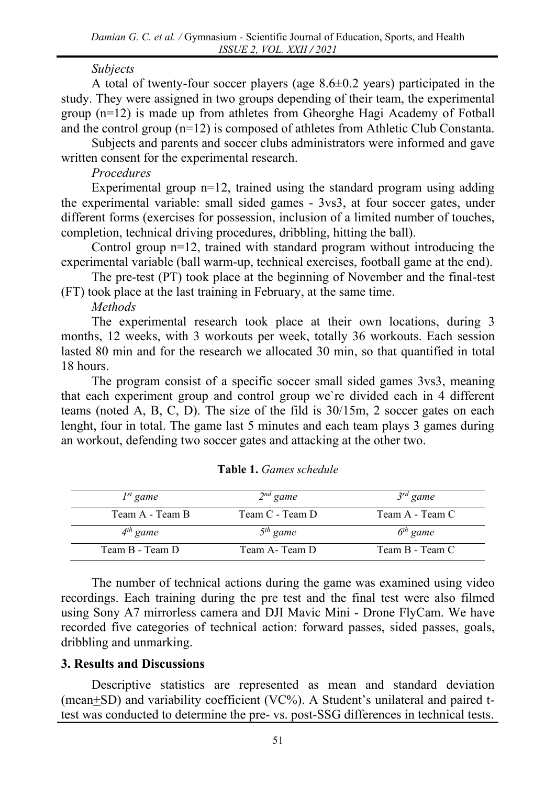### *Subjects*

A total of twenty-four soccer players (age 8.6±0.2 years) participated in the study. They were assigned in two groups depending of their team, the experimental group (n=12) is made up from athletes from Gheorghe Hagi Academy of Fotball and the control group  $(n=12)$  is composed of athletes from Athletic Club Constanta.

Subjects and parents and soccer clubs administrators were informed and gave written consent for the experimental research.

### *Procedures*

Experimental group  $n=12$ , trained using the standard program using adding the experimental variable: small sided games - 3vs3, at four soccer gates, under different forms (exercises for possession, inclusion of a limited number of touches, completion, technical driving procedures, dribbling, hitting the ball).

Control group n=12, trained with standard program without introducing the experimental variable (ball warm-up, technical exercises, football game at the end).

The pre-test (PT) took place at the beginning of November and the final-test (FT) took place at the last training in February, at the same time.

*Methods*

The experimental research took place at their own locations, during 3 months, 12 weeks, with 3 workouts per week, totally 36 workouts. Each session lasted 80 min and for the research we allocated 30 min, so that quantified in total 18 hours.

The program consist of a specific soccer small sided games 3vs3, meaning that each experiment group and control group we`re divided each in 4 different teams (noted A, B, C, D). The size of the fild is 30/15m, 2 soccer gates on each lenght, four in total. The game last 5 minutes and each team plays 3 games during an workout, defending two soccer gates and attacking at the other two.

| $I^{st}$ game   | $2nd$ game      | $3^{rd}$ game   |
|-----------------|-----------------|-----------------|
| Team A - Team B | Team C - Team D | Team A - Team C |
| $4th$ game      | $5th$ game      | $6th$ game      |
| Team B - Team D | Team A - Team D | Team B - Team C |

|  |  |  | Table 1. Games schedule |
|--|--|--|-------------------------|
|--|--|--|-------------------------|

The number of technical actions during the game was examined using video recordings. Each training during the pre test and the final test were also filmed using Sony A7 mirrorless camera and DJI Mavic Mini - Drone FlyCam. We have recorded five categories of technical action: forward passes, sided passes, goals, dribbling and unmarking.

## **3. Results and Discussions**

Descriptive statistics are represented as mean and standard deviation (mean+SD) and variability coefficient (VC%). A Student's unilateral and paired ttest was conducted to determine the pre- vs. post-SSG differences in technical tests.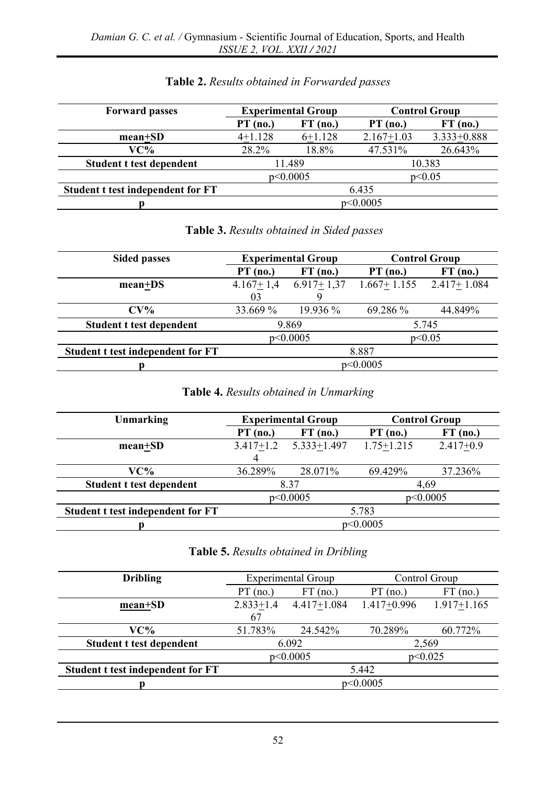| <b>Forward passes</b>             | <b>Experimental Group</b> |             | <b>Control Group</b> |                 |
|-----------------------------------|---------------------------|-------------|----------------------|-----------------|
|                                   | $PT$ (no.)                | FT<br>(no.) | $PT$ (no.)           | $FT$ (no.)      |
| $mean+SD$                         | $4+1.128$                 | $6+1.128$   | $2.167 + 1.03$       | $3.333 + 0.888$ |
| VC%                               | 28.2%                     | 18.8%       | 47.531%              | 26.643%         |
| Student t test dependent          | 11.489<br>10.383          |             |                      |                 |
|                                   | p<0.05<br>p<0.0005        |             |                      |                 |
| Student t test independent for FT | 6.435                     |             |                      |                 |
|                                   | p<0.0005                  |             |                      |                 |

## **Table 2.** *Results obtained in Forwarded passes*

## **Table 3.** *Results obtained in Sided passes*

| <b>Sided passes</b>               |                    | <b>Experimental Group</b> | <b>Control Group</b> |                             |
|-----------------------------------|--------------------|---------------------------|----------------------|-----------------------------|
|                                   | $PT$ (no.)         | $FT$ (no.)                | $PT$ (no.)           | $FT$ (no.)                  |
| mean+DS                           | $4.167+1,4$        | $6.917+1.37$              |                      | $1.667+1.155$ $2.417+1.084$ |
|                                   | 03                 | Q                         |                      |                             |
| $CV\%$                            | 33.669 %           | $19.936\%$                | 69.286 %             | 44.849%                     |
| Student t test dependent          | 9.869<br>5.745     |                           |                      |                             |
|                                   | p<0.0005<br>p<0.05 |                           |                      |                             |
| Student t test independent for FT | 8.887              |                           |                      |                             |
|                                   | p<0.0005           |                           |                      |                             |

# **Table 4.** *Results obtained in Unmarking*

| Unmarking                         | <b>Experimental Group</b> |                 |                | <b>Control Group</b> |
|-----------------------------------|---------------------------|-----------------|----------------|----------------------|
|                                   | $PT$ (no.)                | $FT$ (no.)      | $PT$ (no.)     | $FT$ (no.)           |
| $mean+SD$                         | $3.417 + 1.2$<br>4        | $5.333 + 1.497$ | $1.75 + 1.215$ | $2.417 + 0.9$        |
| $VC\%$                            | 36.289%                   | 28.071%         | 69.429%        | 37.236%              |
| Student t test dependent          |                           | 8.37            |                | 4.69                 |
|                                   | p<0.0005<br>p<0.0005      |                 |                |                      |
| Student t test independent for FT | 5.783                     |                 |                |                      |
|                                   | p<0.0005                  |                 |                |                      |

### **Table 5.** *Results obtained in Dribling*

| <b>Dribling</b>                   | <b>Experimental Group</b> |                 | Control Group   |                 |
|-----------------------------------|---------------------------|-----------------|-----------------|-----------------|
|                                   | $PT$ (no.)                | $FT$ (no.)      | $PT$ (no.)      | $FT$ (no.)      |
| $mean+SD$                         | $2.833 + 1.4$             | $4.417 + 1.084$ | $1.417 + 0.996$ | $1.917 + 1.165$ |
|                                   | 67                        |                 |                 |                 |
| VC%                               | 51.783%                   | 24.542%         | 70.289%         | 60.772%         |
| Student t test dependent          | 6.092<br>2,569            |                 |                 |                 |
|                                   | p<0.025<br>p<0.0005       |                 |                 |                 |
| Student t test independent for FT | 5.442                     |                 |                 |                 |
|                                   | p<0.0005                  |                 |                 |                 |
|                                   |                           |                 |                 |                 |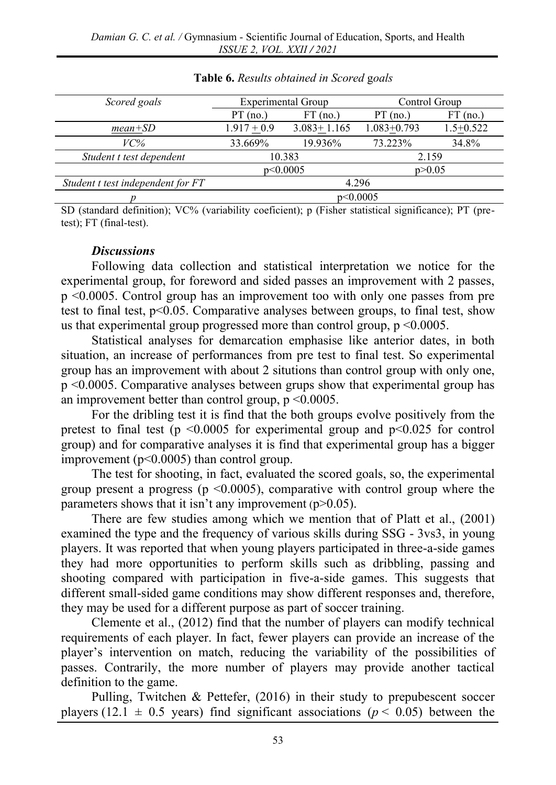| Scored goals                      | <b>Experimental Group</b> |                   | Control Group   |               |
|-----------------------------------|---------------------------|-------------------|-----------------|---------------|
|                                   | $PT$ (no.)                | $FT$ (no.)        | $PT$ (no.)      | $FT$ (no.)    |
| $mean + SD$                       | $1.917 + 0.9$             | $3.083 \pm 1.165$ | $1.083 + 0.793$ | $1.5 + 0.522$ |
| VC%                               | 33.669%                   | 19.936%           | 73.223%         | 34.8%         |
| Student t test dependent          | 10.383                    |                   | 2.159           |               |
|                                   | p<0.0005<br>p > 0.05      |                   |                 |               |
| Student t test independent for FT | 4.296                     |                   |                 |               |
|                                   | p<0.0005                  |                   |                 |               |

### **Table 6.** *Results obtained in Scored* g*oals*

SD (standard definition); VC% (variability coeficient); p (Fisher statistical significance); PT (pretest); FT (final-test).

#### *Discussions*

Following data collection and statistical interpretation we notice for the experimental group, for foreword and sided passes an improvement with 2 passes, p <0.0005. Control group has an improvement too with only one passes from pre test to final test, p<0.05. Comparative analyses between groups, to final test, show us that experimental group progressed more than control group,  $p \leq 0.0005$ .

Statistical analyses for demarcation emphasise like anterior dates, in both situation, an increase of performances from pre test to final test. So experimental group has an improvement with about 2 situtions than control group with only one, p <0.0005. Comparative analyses between grups show that experimental group has an improvement better than control group,  $p \leq 0.0005$ .

For the dribling test it is find that the both groups evolve positively from the pretest to final test ( $p \le 0.0005$  for experimental group and  $p \le 0.025$  for control group) and for comparative analyses it is find that experimental group has a bigger improvement ( $p<0.0005$ ) than control group.

The test for shooting, in fact, evaluated the scored goals, so, the experimental group present a progress ( $p \le 0.0005$ ), comparative with control group where the parameters shows that it isn't any improvement  $(p>0.05)$ .

There are few studies among which we mention that of Platt et al., (2001) examined the type and the frequency of various skills during SSG - 3vs3, in young players. It was reported that when young players participated in three-a-side games they had more opportunities to perform skills such as dribbling, passing and shooting compared with participation in five-a-side games. This suggests that different small-sided game conditions may show different responses and, therefore, they may be used for a different purpose as part of soccer training.

Clemente et al., (2012) find that the number of players can modify technical requirements of each player. In fact, fewer players can provide an increase of the player's intervention on match, reducing the variability of the possibilities of passes. Contrarily, the more number of players may provide another tactical definition to the game.

Pulling, Twitchen & Pettefer, (2016) in their study to prepubescent soccer players (12.1  $\pm$  0.5 years) find significant associations ( $p$  < 0.05) between the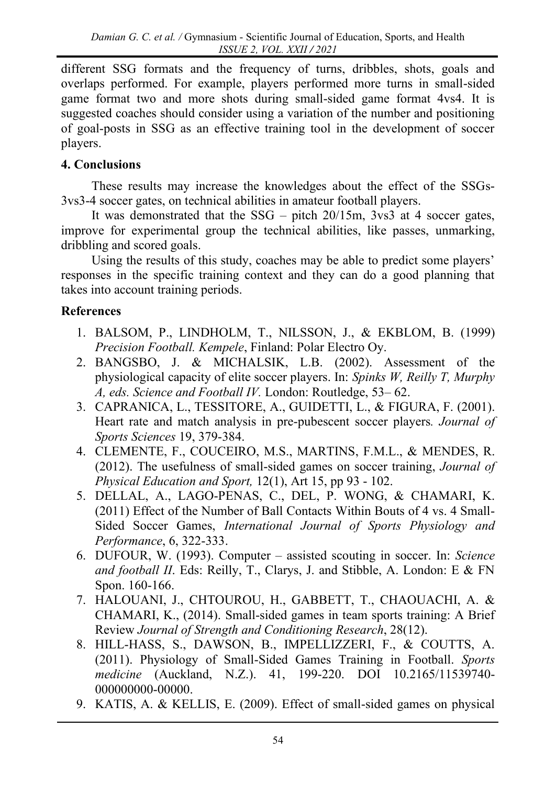different SSG formats and the frequency of turns, dribbles, shots, goals and overlaps performed. For example, players performed more turns in small-sided game format two and more shots during small-sided game format 4vs4. It is suggested coaches should consider using a variation of the number and positioning of goal-posts in SSG as an effective training tool in the development of soccer players.

# **4. Conclusions**

These results may increase the knowledges about the effect of the SSGs-3vs3-4 soccer gates, on technical abilities in amateur football players.

It was demonstrated that the  $SSG - pitch 20/15m$ , 3vs3 at 4 soccer gates, improve for experimental group the technical abilities, like passes, unmarking, dribbling and scored goals.

Using the results of this study, coaches may be able to predict some players' responses in the specific training context and they can do a good planning that takes into account training periods.

# **References**

- 1. BALSOM, P., LINDHOLM, T., NILSSON, J., & EKBLOM, B. (1999) *Precision Football. Kempele*, Finland: Polar Electro Oy.
- 2. BANGSBO, J. & MICHALSIK, L.B. (2002). Assessment of the physiological capacity of elite soccer players. In: *Spinks W, Reilly T, Murphy A, eds. Science and Football IV.* London: Routledge, 53– 62.
- 3. CAPRANICA, L., TESSITORE, A., GUIDETTI, L., & FIGURA, F. (2001). Heart rate and match analysis in pre-pubescent soccer players*. Journal of Sports Sciences* 19, 379-384.
- 4. CLEMENTE, F., COUCEIRO, M.S., MARTINS, F.M.L., & MENDES, R. (2012). The usefulness of small-sided games on soccer training, *Journal of Physical Education and Sport,* 12(1), Art 15, pp 93 - 102.
- 5. DELLAL, A., LAGO-PENAS, C., DEL, P. WONG, & CHAMARI, K. (2011) Effect of the Number of Ball Contacts Within Bouts of 4 vs. 4 Small-Sided Soccer Games, *International Journal of Sports Physiology and Performance*, 6, 322-333.
- 6. DUFOUR, W. (1993). Computer assisted scouting in soccer. In: *Science and football II*. Eds: Reilly, T., Clarys, J. and Stibble, A. London: E & FN Spon. 160-166.
- 7. HALOUANI, J., CHTOUROU, H., GABBETT, T., CHAOUACHI, A. & CHAMARI, K., (2014). Small-sided games in team sports training: A Brief Review *Journal of Strength and Conditioning Research*, 28(12).
- 8. HILL-HASS, S., DAWSON, B., IMPELLIZZERI, F., & COUTTS, A. (2011). Physiology of Small-Sided Games Training in Football. *Sports medicine* (Auckland, N.Z.). 41, 199-220. DOI 10.2165/11539740- 000000000-00000.
- 9. KATIS, A. & KELLIS, E. (2009). Effect of small-sided games on physical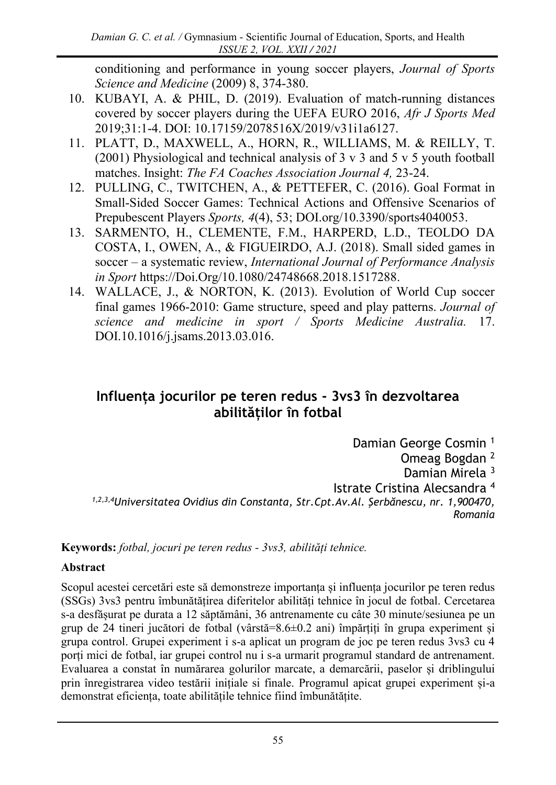conditioning and performance in young soccer players, *Journal of Sports Science and Medicine* (2009) 8, 374-380.

- 10. KUBAYI, A. & PHIL, D. (2019). Evaluation of match-running distances covered by soccer players during the UEFA EURO 2016, *Afr J Sports Med* 2019;31:1-4. DOI: 10.17159/2078516X/2019/v31i1a6127.
- 11. PLATT, D., MAXWELL, A., HORN, R., WILLIAMS, M. & REILLY, T. (2001) Physiological and technical analysis of 3 v 3 and 5 v 5 youth football matches. Insight: *The FA Coaches Association Journal 4,* 23-24.
- 12. PULLING, C., TWITCHEN, A., & PETTEFER, C. (2016). Goal Format in Small-Sided Soccer Games: Technical Actions and Offensive Scenarios of Prepubescent Players *Sports, 4*(4), 53; [DOI.org/10.3390/sports4040053.](https://doi.org/10.3390/sports4040053)
- 13. SARMENTO, H., CLEMENTE, F.M., HARPERD, L.D., TEOLDO DA COSTA, I., OWEN, A., & FIGUEIRDO, A.J. (2018). Small sided games in soccer – a systematic review, *International Journal of Performance Analysis in Sport* [https://Doi.Org/10.1080/24748668.2018.1517288.](https://doi.org/10.1080/24748668.2018.1517288)
- 14. WALLACE, J., & NORTON, K. (2013). Evolution of World Cup soccer final games 1966-2010: Game structure, speed and play patterns. *Journal of science and medicine in sport / Sports Medicine Australia.* 17. DOI.10.1016/j.jsams.2013.03.016.

# **Influența jocurilor pe teren redus - 3vs3 în dezvoltarea abilităților în fotbal**

Damian George Cosmin <sup>1</sup> Omeag Bogdan <sup>2</sup> Damian Mirela <sup>3</sup> Istrate Cristina Alecsandra <sup>4</sup> *1,2,3,4Universitatea Ovidius din Constanta, Str.Cpt.Av.Al. Şerbănescu, nr. 1,900470, Romania*

**Keywords:** *fotbal, jocuri pe teren redus - 3vs3, abilități tehnice.*

## **Abstract**

Scopul acestei cercetări este să demonstreze importanța și influența jocurilor pe teren redus (SSGs) 3vs3 pentru îmbunătățirea diferitelor abilități tehnice în jocul de fotbal. Cercetarea s-a desfășurat pe durata a 12 săptămâni, 36 antrenamente cu câte 30 minute/sesiunea pe un grup de 24 tineri jucători de fotbal (vârstă=8.6±0.2 ani) împărțiți în grupa experiment și grupa control. Grupei experiment i s-a aplicat un program de joc pe teren redus 3vs3 cu 4 porți mici de fotbal, iar grupei control nu i s-a urmarit programul standard de antrenament. Evaluarea a constat în numărarea golurilor marcate, a demarcării, paselor și driblingului prin înregistrarea video testării inițiale si finale. Programul apicat grupei experiment și-a demonstrat eficiența, toate abilitățile tehnice fiind îmbunătățite.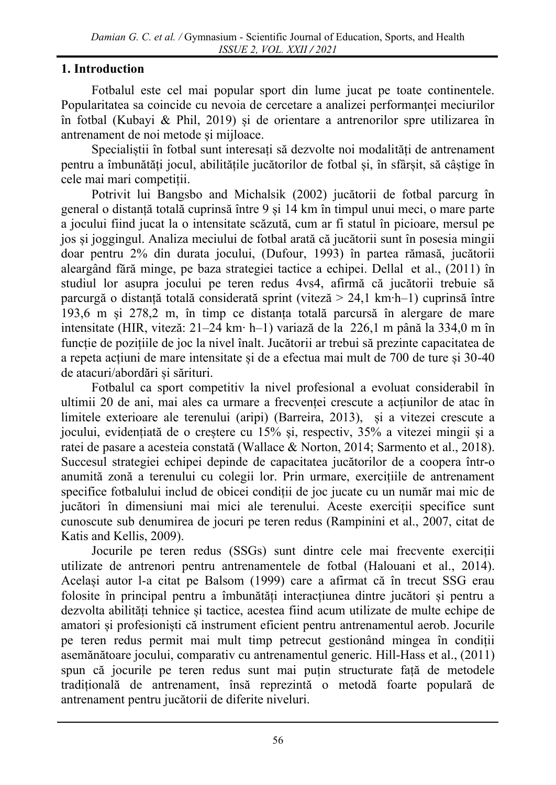## **1. Introduction**

Fotbalul este cel mai popular sport din lume jucat pe toate continentele. Popularitatea sa coincide cu nevoia de cercetare a analizei performanței meciurilor în fotbal (Kubayi & Phil, 2019) și de orientare a antrenorilor spre utilizarea în antrenament de noi metode și mijloace.

Specialiștii în fotbal sunt interesați să dezvolte noi modalități de antrenament pentru a îmbunătăți jocul, abilitățile jucătorilor de fotbal și, în sfârșit, să câștige în cele mai mari competiții.

Potrivit lui Bangsbo and Michalsik (2002) jucătorii de fotbal parcurg în general o distanță totală cuprinsă între 9 și 14 km în timpul unui meci, o mare parte a jocului fiind jucat la o intensitate scăzută, cum ar fi statul în picioare, mersul pe jos și joggingul. Analiza meciului de fotbal arată că jucătorii sunt în posesia mingii doar pentru 2% din durata jocului, (Dufour, 1993) în partea rămasă, jucătorii aleargând fără minge, pe baza strategiei tactice a echipei. Dellal et al., (2011) în studiul lor asupra jocului pe teren redus 4vs4, afirmă că jucătorii trebuie să parcurgă o distanță totală considerată sprint (viteză > 24,1 km∙h–1) cuprinsă între 193,6 m și 278,2 m, în timp ce distanța totală parcursă în alergare de mare intensitate (HIR, viteză: 21–24 km∙ h–1) variază de la 226,1 m până la 334,0 m în funcție de pozițiile de joc la nivel înalt. Jucătorii ar trebui să prezinte capacitatea de a repeta acțiuni de mare intensitate și de a efectua mai mult de 700 de ture și 30-40 de atacuri/abordări și sărituri.

Fotbalul ca sport competitiv la nivel profesional a evoluat considerabil în ultimii 20 de ani, mai ales ca urmare a frecvenței crescute a acțiunilor de atac în limitele exterioare ale terenului (aripi) (Barreira, 2013), și a vitezei crescute a jocului, evidențiată de o creștere cu 15% și, respectiv, 35% a vitezei mingii și a ratei de pasare a acesteia constată (Wallace & Norton, 2014; Sarmento et al., 2018). Succesul strategiei echipei depinde de capacitatea jucătorilor de a coopera într-o anumită zonă a terenului cu colegii lor. Prin urmare, exercițiile de antrenament specifice fotbalului includ de obicei condiții de joc jucate cu un număr mai mic de jucători în dimensiuni mai mici ale terenului. Aceste exerciții specifice sunt cunoscute sub denumirea de jocuri pe teren redus (Rampinini et al., 2007, citat de Katis and Kellis, 2009).

Jocurile pe teren redus (SSGs) sunt dintre cele mai frecvente exerciții utilizate de antrenori pentru antrenamentele de fotbal (Halouani et al., 2014). Același autor l-a citat pe Balsom (1999) care a afirmat că în trecut SSG erau folosite în principal pentru a îmbunătăți interacțiunea dintre jucători și pentru a dezvolta abilități tehnice și tactice, acestea fiind acum utilizate de multe echipe de amatori și profesioniști că instrument eficient pentru antrenamentul aerob. Jocurile pe teren redus permit mai mult timp petrecut gestionând mingea în condiții asemănătoare jocului, comparativ cu antrenamentul generic. Hill-Hass et al., (2011) spun că jocurile pe teren redus sunt mai puțin structurate față de metodele tradițională de antrenament, însă reprezintă o metodă foarte populară de antrenament pentru jucătorii de diferite niveluri.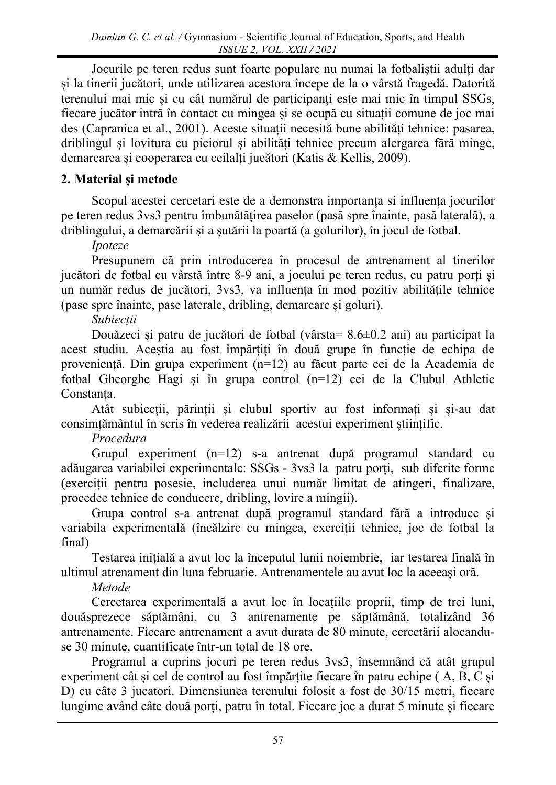Jocurile pe teren redus sunt foarte populare nu numai la fotbaliștii adulți dar și la tinerii jucători, unde utilizarea acestora începe de la o vârstă fragedă. Datorită terenului mai mic și cu cât numărul de participanți este mai mic în timpul SSGs, fiecare jucător intră în contact cu mingea și se ocupă cu situații comune de joc mai des (Capranica et al., 2001). Aceste situații necesită bune abilități tehnice: pasarea, driblingul și lovitura cu piciorul și abilități tehnice precum alergarea fără minge, demarcarea și cooperarea cu ceilalți jucători (Katis & Kellis, 2009).

# **2. Material și metode**

Scopul acestei cercetari este de a demonstra importanța si influența jocurilor pe teren redus 3vs3 pentru îmbunătățirea paselor (pasă spre înainte, pasă laterală), a driblingului, a demarcării și a șutării la poartă (a golurilor), în jocul de fotbal.

## *Ipoteze*

Presupunem că prin introducerea în procesul de antrenament al tinerilor jucători de fotbal cu vârstă între 8-9 ani, a jocului pe teren redus, cu patru porți și un număr redus de jucători, 3vs3, va influența în mod pozitiv abilitățile tehnice (pase spre înainte, pase laterale, dribling, demarcare și goluri).

# *Subiecții*

Douăzeci și patru de jucători de fotbal (vârsta= 8.6±0.2 ani) au participat la acest studiu. Aceștia au fost împărțiți în două grupe în funcție de echipa de proveniență. Din grupa experiment (n=12) au făcut parte cei de la Academia de fotbal Gheorghe Hagi și în grupa control (n=12) cei de la Clubul Athletic Constanța.

Atât subiecții, părinții și clubul sportiv au fost informați și și-au dat consimțământul în scris în vederea realizării acestui experiment științific.

# *Procedura*

Grupul experiment (n=12) s-a antrenat după programul standard cu adăugarea variabilei experimentale: SSGs - 3vs3 la patru porți, sub diferite forme (exerciții pentru posesie, includerea unui număr limitat de atingeri, finalizare, procedee tehnice de conducere, dribling, lovire a mingii).

Grupa control s-a antrenat după programul standard fără a introduce și variabila experimentală (încălzire cu mingea, exerciții tehnice, joc de fotbal la final)

Testarea inițială a avut loc la începutul lunii noiembrie, iar testarea finală în ultimul atrenament din luna februarie. Antrenamentele au avut loc la aceeași oră.

# *Metode*

Cercetarea experimentală a avut loc în locațiile proprii, timp de trei luni, douăsprezece săptămâni, cu 3 antrenamente pe săptămână, totalizând 36 antrenamente. Fiecare antrenament a avut durata de 80 minute, cercetării alocanduse 30 minute, cuantificate într-un total de 18 ore.

Programul a cuprins jocuri pe teren redus 3vs3, însemnând că atât grupul experiment cât și cel de control au fost împărțite fiecare în patru echipe ( A, B, C și D) cu câte 3 jucatori. Dimensiunea terenului folosit a fost de 30/15 metri, fiecare lungime având câte două porți, patru în total. Fiecare joc a durat 5 minute și fiecare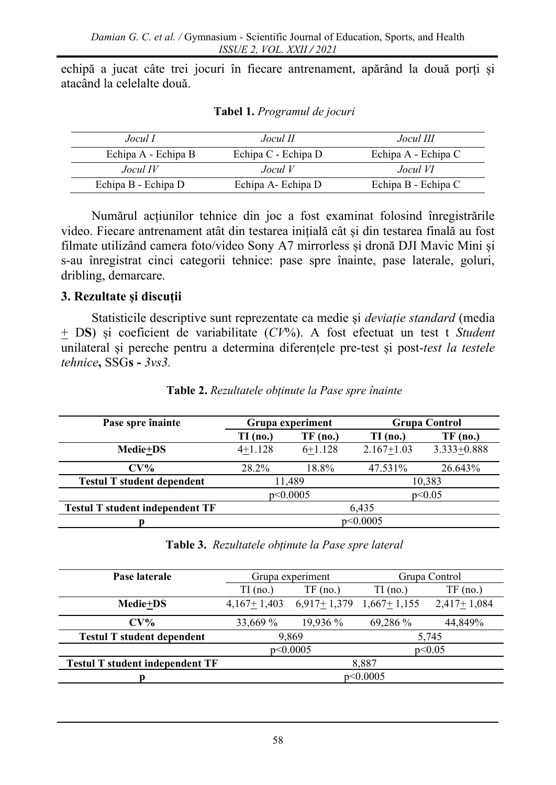echipă a jucat câte trei jocuri în fiecare antrenament, apărând la două porți și atacând la celelalte două.

| Jocul I             | Jocul II            | Jocul III           |
|---------------------|---------------------|---------------------|
| Echipa A - Echipa B | Echipa C - Echipa D | Echipa A - Echipa C |
| $Jocul$ IV          | JoculV              | Jocul VI            |
| Echipa B - Echipa D | Echipa A - Echipa D | Echipa B - Echipa C |

**Tabel 1.** *Programul de jocuri*

Numărul acțiunilor tehnice din joc a fost examinat folosind înregistrările video. Fiecare antrenament atât din testarea inițială cât și din testarea finală au fost filmate utilizând camera foto/video Sony A7 mirrorless și dronă DJI Mavic Mini și s-au înregistrat cinci categorii tehnice: pase spre înainte, pase laterale, goluri, dribling, demarcare.

## **3. Rezultate și discuții**

Statisticile descriptive sunt reprezentate ca medie și *deviație standard* (media + D**S**) și coeficient de variabilitate (*CV*%). A fost efectuat un test t *Student* unilateral și pereche pentru a determina diferențele pre-test și post-*test la testele tehnice***,** SSG**s -** *3vs3.*

| Pase spre înainte                      | Grupa experiment   |            |                | <b>Grupa Control</b> |
|----------------------------------------|--------------------|------------|----------------|----------------------|
|                                        | $TI$ (no.)         | $TF$ (no.) | TI (no.)       | $TF$ (no.)           |
| <b>Medie+DS</b>                        | $4+1.128$          | $6+1.128$  | $2.167 + 1.03$ | $3.333 + 0.888$      |
| $CV\%$                                 | 28.2%              | 18.8%      | 47.531%        | 26.643%              |
| <b>Testul T student dependent</b>      |                    | 11,489     |                | 10,383               |
|                                        | p<0.0005<br>p<0.05 |            |                |                      |
| <b>Testul T student independent TF</b> | 6,435              |            |                |                      |
|                                        | p<0.0005           |            |                |                      |

**Table 2.** *Rezultatele obținute la Pase spre înainte*

**Table 3.** *Rezultatele obținute la Pase spre lateral*

| Pase laterale                          |                    | Grupa experiment | Grupa Control |               |
|----------------------------------------|--------------------|------------------|---------------|---------------|
|                                        | $TI$ (no.)         | $TF$ (no.)       | $TI$ (no.)    | $TF$ (no.)    |
| <b>Medie+DS</b>                        | $4,167+1,403$      | $6,917+1,379$    | $1,667+1,155$ | $2,417+1,084$ |
| $CV\%$                                 | 33,669 %           | 19,936 %         | 69,286 %      | 44,849%       |
| <b>Testul T student dependent</b>      | 9,869<br>5,745     |                  |               |               |
|                                        | p<0.0005<br>p<0.05 |                  |               |               |
| <b>Testul T student independent TF</b> | 8.887              |                  |               |               |
|                                        | p<0.0005           |                  |               |               |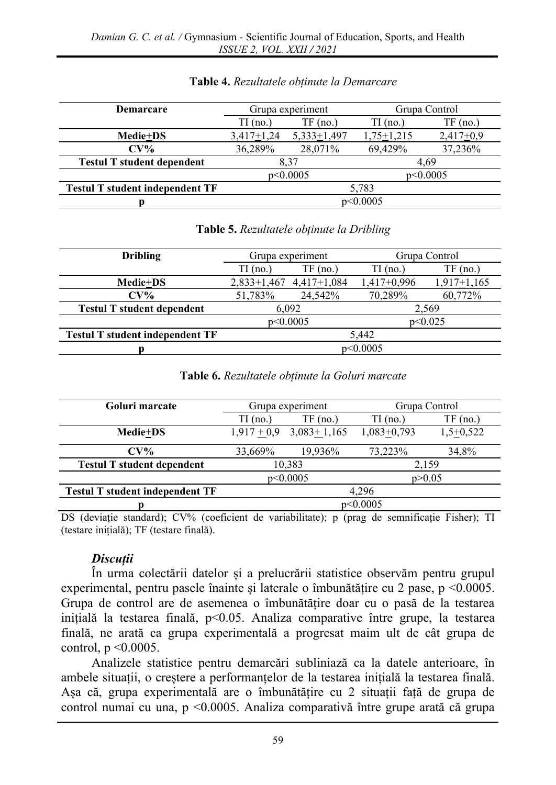| <b>Demarcare</b>                       | Grupa experiment     |               | Grupa Control    |             |
|----------------------------------------|----------------------|---------------|------------------|-------------|
|                                        | (no.)<br>TГ          | $TF$ (no.)    | TI (no.)         | $TF$ (no.)  |
| <b>Medie+DS</b>                        | $3,417+1,24$         | $5,333+1,497$ | $1,75 \pm 1,215$ | $2,417+0,9$ |
| $CV\%$                                 | 36,289%              | 28,071\%      | 69.429%          | 37,236%     |
| <b>Testul T student dependent</b>      | 4,69<br>8.37         |               |                  |             |
|                                        | p<0.0005<br>p<0.0005 |               |                  |             |
| <b>Testul T student independent TF</b> | 5,783                |               |                  |             |
|                                        | p<0.0005             |               |                  |             |

### **Table 4.** *Rezultatele obținute la Demarcare*

#### **Table 5.** *Rezultatele obținute la Dribling*

| <b>Dribling</b>                        | Grupa experiment       |               | Grupa Control |               |
|----------------------------------------|------------------------|---------------|---------------|---------------|
|                                        | $\overline{\Pi}$ (no.) | $TF$ (no.)    | $TI$ (no.)    | $TF$ (no.)    |
| <b>Medie+DS</b>                        | $2,833+1,467$          | $4,417+1,084$ | $1,417+0,996$ | $1,917+1,165$ |
| $CV\%$                                 | 51,783%                | 24.542%       | 70,289%       | 60,772%       |
| <b>Testul T student dependent</b>      | 6.092<br>2,569         |               |               |               |
|                                        | p<0.025<br>p<0.0005    |               |               |               |
| <b>Testul T student independent TF</b> | 5.442                  |               |               |               |
|                                        | p<0.0005               |               |               |               |

#### **Table 6.** *Rezultatele obținute la Goluri marcate*

| Goluri marcate                         |               |               | Grupa experiment |             | Grupa Control |  |
|----------------------------------------|---------------|---------------|------------------|-------------|---------------|--|
|                                        | TI (no.)      | $TF$ (no.)    | $TI$ (no.)       | $TF$ (no.)  |               |  |
| <b>Medie+DS</b>                        | $1,917 + 0,9$ | $3,083+1,165$ | $1,083+0,793$    | $1,5+0,522$ |               |  |
| $CV\%$                                 | 33,669%       | 19,936%       | 73,223%          | 34,8%       |               |  |
| <b>Testul T student dependent</b>      | 10,383        |               | 2,159            |             |               |  |
|                                        | p<0.0005      |               | p > 0.05         |             |               |  |
| <b>Testul T student independent TF</b> | 4.296         |               |                  |             |               |  |
|                                        | p<0.0005      |               |                  |             |               |  |

DS (deviație standard); CV% (coeficient de variabilitate); p (prag de semnificație Fisher); TI (testare inițială); TF (testare finală).

### *Discuții*

În urma colectării datelor și a prelucrării statistice observăm pentru grupul experimental, pentru pasele înainte și laterale o îmbunătățire cu 2 pase, p <0.0005. Grupa de control are de asemenea o îmbunătățire doar cu o pasă de la testarea inițială la testarea finală, p<0.05. Analiza comparative între grupe, la testarea finală, ne arată ca grupa experimentală a progresat maim ult de cât grupa de control,  $p \leq 0.0005$ .

Analizele statistice pentru demarcări subliniază ca la datele anterioare, în ambele situații, o creștere a performanțelor de la testarea inițială la testarea finală. Așa că, grupa experimentală are o îmbunătățire cu 2 situații față de grupa de control numai cu una, p <0.0005. Analiza comparativă între grupe arată că grupa